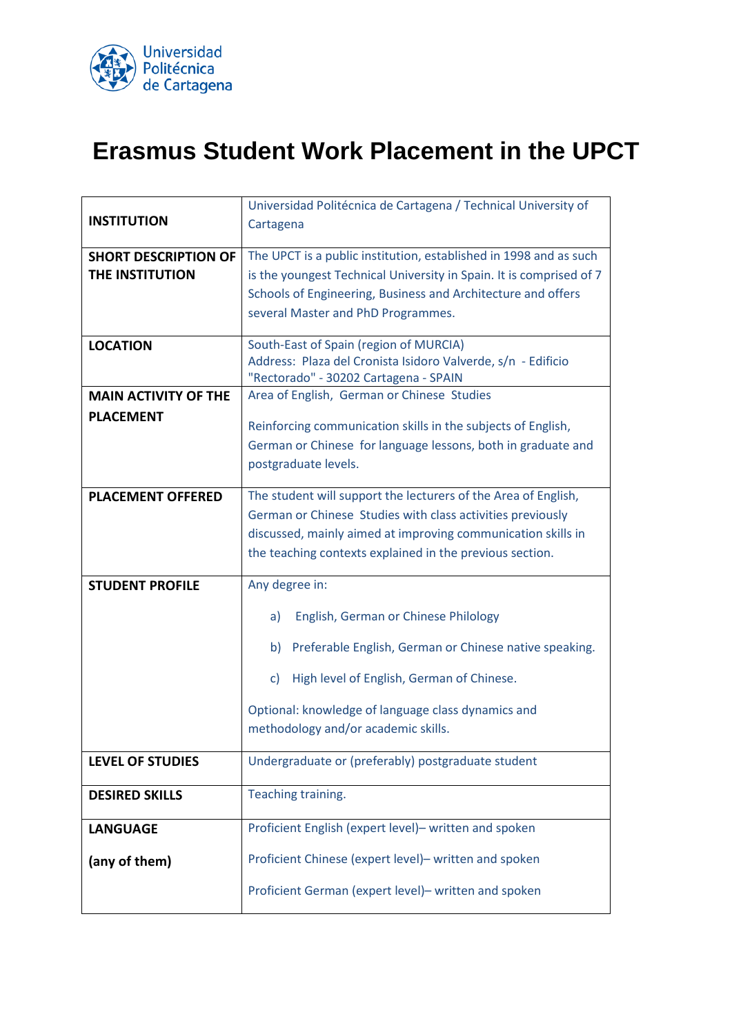

## **Erasmus Student Work Placement in the UPCT**

|                             | Universidad Politécnica de Cartagena / Technical University of      |
|-----------------------------|---------------------------------------------------------------------|
| <b>INSTITUTION</b>          | Cartagena                                                           |
|                             |                                                                     |
| <b>SHORT DESCRIPTION OF</b> | The UPCT is a public institution, established in 1998 and as such   |
| THE INSTITUTION             | is the youngest Technical University in Spain. It is comprised of 7 |
|                             | Schools of Engineering, Business and Architecture and offers        |
|                             | several Master and PhD Programmes.                                  |
|                             |                                                                     |
| <b>LOCATION</b>             | South-East of Spain (region of MURCIA)                              |
|                             | Address: Plaza del Cronista Isidoro Valverde, s/n - Edificio        |
|                             | "Rectorado" - 30202 Cartagena - SPAIN                               |
| <b>MAIN ACTIVITY OF THE</b> | Area of English, German or Chinese Studies                          |
| <b>PLACEMENT</b>            |                                                                     |
|                             | Reinforcing communication skills in the subjects of English,        |
|                             | German or Chinese for language lessons, both in graduate and        |
|                             | postgraduate levels.                                                |
|                             |                                                                     |
| <b>PLACEMENT OFFERED</b>    | The student will support the lecturers of the Area of English,      |
|                             | German or Chinese Studies with class activities previously          |
|                             | discussed, mainly aimed at improving communication skills in        |
|                             | the teaching contexts explained in the previous section.            |
|                             |                                                                     |
| <b>STUDENT PROFILE</b>      | Any degree in:                                                      |
|                             | English, German or Chinese Philology<br>a)                          |
|                             | b) Preferable English, German or Chinese native speaking.           |
|                             | High level of English, German of Chinese.<br>$\mathsf{C}$           |
|                             | Optional: knowledge of language class dynamics and                  |
|                             | methodology and/or academic skills.                                 |
|                             |                                                                     |
| <b>LEVEL OF STUDIES</b>     | Undergraduate or (preferably) postgraduate student                  |
|                             |                                                                     |
| <b>DESIRED SKILLS</b>       | Teaching training.                                                  |
| <b>LANGUAGE</b>             | Proficient English (expert level)- written and spoken               |
| (any of them)               | Proficient Chinese (expert level)- written and spoken               |
|                             | Proficient German (expert level)- written and spoken                |